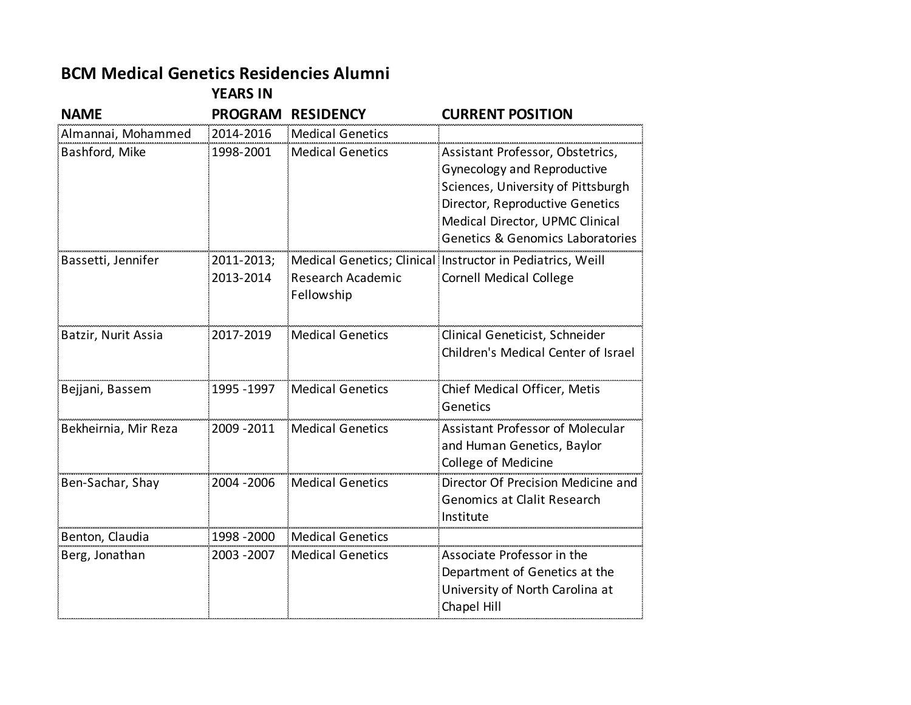## **BCM Medical Genetics Residencies Alumni**

**YEARS IN** 

| <b>NAME</b>          | <b>PROGRAM</b>          | <b>RESIDENCY</b>                | <b>CURRENT POSITION</b>                                                                                                                                                                                                |
|----------------------|-------------------------|---------------------------------|------------------------------------------------------------------------------------------------------------------------------------------------------------------------------------------------------------------------|
| Almannai, Mohammed   | 2014-2016               | <b>Medical Genetics</b>         |                                                                                                                                                                                                                        |
| Bashford, Mike       | 1998-2001               | <b>Medical Genetics</b>         | Assistant Professor, Obstetrics,<br><b>Gynecology and Reproductive</b><br>Sciences, University of Pittsburgh<br>Director, Reproductive Genetics<br>Medical Director, UPMC Clinical<br>Genetics & Genomics Laboratories |
| Bassetti, Jennifer   | 2011-2013;<br>2013-2014 | Research Academic<br>Fellowship | Medical Genetics; Clinical Instructor in Pediatrics, Weill<br><b>Cornell Medical College</b>                                                                                                                           |
| Batzir, Nurit Assia  | 2017-2019               | <b>Medical Genetics</b>         | Clinical Geneticist, Schneider<br>Children's Medical Center of Israel                                                                                                                                                  |
| Bejjani, Bassem      | 1995 - 1997             | <b>Medical Genetics</b>         | Chief Medical Officer, Metis<br>Genetics                                                                                                                                                                               |
| Bekheirnia, Mir Reza | 2009 - 2011             | <b>Medical Genetics</b>         | Assistant Professor of Molecular<br>and Human Genetics, Baylor<br>College of Medicine                                                                                                                                  |
| Ben-Sachar, Shay     | 2004 - 2006             | Medical Genetics                | Director Of Precision Medicine and<br><b>Genomics at Clalit Research</b><br>Institute                                                                                                                                  |
| Benton, Claudia      | 1998 - 2000             | Medical Genetics                |                                                                                                                                                                                                                        |
| Berg, Jonathan       | 2003 - 2007             | <b>Medical Genetics</b>         | Associate Professor in the<br>Department of Genetics at the<br>University of North Carolina at<br>Chapel Hill                                                                                                          |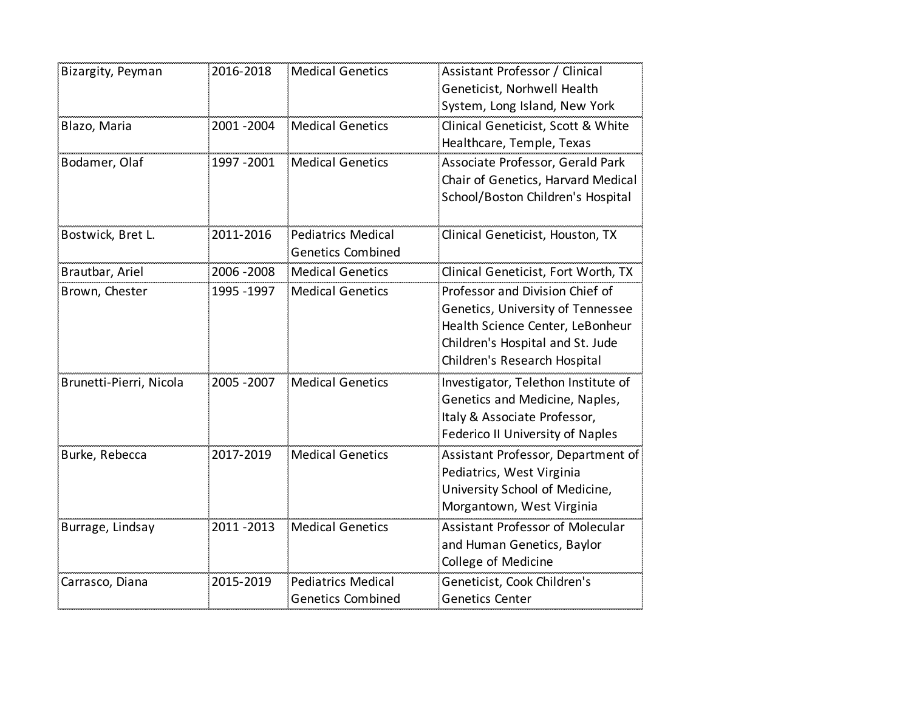| Bizargity, Peyman       | 2016-2018   | <b>Medical Genetics</b>                               | Assistant Professor / Clinical<br>Geneticist, Norhwell Health<br>System, Long Island, New York                                                                               |
|-------------------------|-------------|-------------------------------------------------------|------------------------------------------------------------------------------------------------------------------------------------------------------------------------------|
| Blazo, Maria            | 2001-2004   | <b>Medical Genetics</b>                               | Clinical Geneticist, Scott & White<br>Healthcare, Temple, Texas                                                                                                              |
| Bodamer, Olaf           | 1997 - 2001 | <b>Medical Genetics</b>                               | Associate Professor, Gerald Park<br>Chair of Genetics, Harvard Medical<br>School/Boston Children's Hospital                                                                  |
| Bostwick, Bret L.       | 2011-2016   | <b>Pediatrics Medical</b><br><b>Genetics Combined</b> | Clinical Geneticist, Houston, TX                                                                                                                                             |
| Brautbar, Ariel         | 2006 - 2008 | <b>Medical Genetics</b>                               | Clinical Geneticist, Fort Worth, TX                                                                                                                                          |
| Brown, Chester          | 1995 - 1997 | <b>Medical Genetics</b>                               | Professor and Division Chief of<br>Genetics, University of Tennessee<br>Health Science Center, LeBonheur<br>Children's Hospital and St. Jude<br>Children's Research Hospital |
| Brunetti-Pierri, Nicola | 2005 - 2007 | <b>Medical Genetics</b>                               | Investigator, Telethon Institute of<br>Genetics and Medicine, Naples,<br>Italy & Associate Professor,<br>Federico II University of Naples                                    |
| Burke, Rebecca          | 2017-2019   | <b>Medical Genetics</b>                               | Assistant Professor, Department of<br>Pediatrics, West Virginia<br>University School of Medicine,<br>Morgantown, West Virginia                                               |
| Burrage, Lindsay        | 2011-2013   | <b>Medical Genetics</b>                               | Assistant Professor of Molecular<br>and Human Genetics, Baylor<br>College of Medicine                                                                                        |
| Carrasco, Diana         | 2015-2019   | <b>Pediatrics Medical</b><br><b>Genetics Combined</b> | Geneticist, Cook Children's<br><b>Genetics Center</b>                                                                                                                        |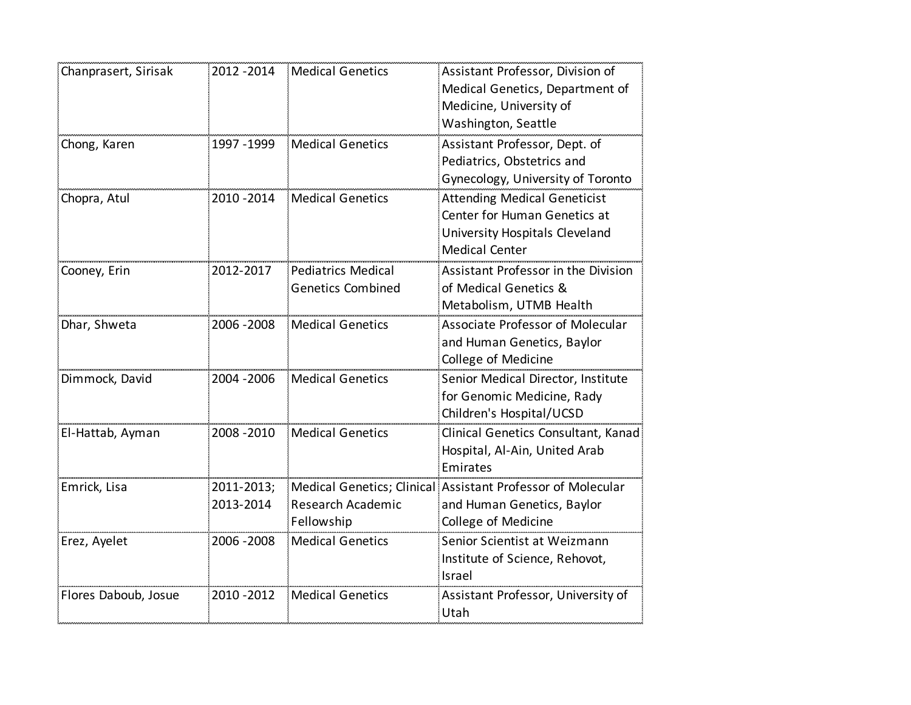| Chanprasert, Sirisak | 2012 - 2014             | Medical Genetics                                      | Assistant Professor, Division of<br>Medical Genetics, Department of<br>Medicine, University of<br>Washington, Seattle          |
|----------------------|-------------------------|-------------------------------------------------------|--------------------------------------------------------------------------------------------------------------------------------|
| Chong, Karen         | 1997 - 1999             | <b>Medical Genetics</b>                               | Assistant Professor, Dept. of<br>Pediatrics, Obstetrics and<br>Gynecology, University of Toronto                               |
| Chopra, Atul         | 2010 - 2014             | <b>Medical Genetics</b>                               | <b>Attending Medical Geneticist</b><br>Center for Human Genetics at<br>University Hospitals Cleveland<br><b>Medical Center</b> |
| Cooney, Erin         | 2012-2017               | <b>Pediatrics Medical</b><br><b>Genetics Combined</b> | Assistant Professor in the Division<br>of Medical Genetics &<br>Metabolism, UTMB Health                                        |
| Dhar, Shweta         | 2006 - 2008             | <b>Medical Genetics</b>                               | Associate Professor of Molecular<br>and Human Genetics, Baylor<br>College of Medicine                                          |
| Dimmock, David       | 2004 - 2006             | <b>Medical Genetics</b>                               | Senior Medical Director, Institute<br>for Genomic Medicine, Rady<br>Children's Hospital/UCSD                                   |
| El-Hattab, Ayman     | 2008 - 2010             | <b>Medical Genetics</b>                               | Clinical Genetics Consultant, Kanad<br>Hospital, Al-Ain, United Arab<br>Emirates                                               |
| Emrick, Lisa         | 2011-2013;<br>2013-2014 | Research Academic<br>Fellowship                       | Medical Genetics; Clinical Assistant Professor of Molecular<br>and Human Genetics, Baylor<br>College of Medicine               |
| Erez, Ayelet         | 2006 - 2008             | <b>Medical Genetics</b>                               | Senior Scientist at Weizmann<br>Institute of Science, Rehovot,<br>Israel                                                       |
| Flores Daboub, Josue | 2010 - 2012             | <b>Medical Genetics</b>                               | Assistant Professor, University of<br>Utah                                                                                     |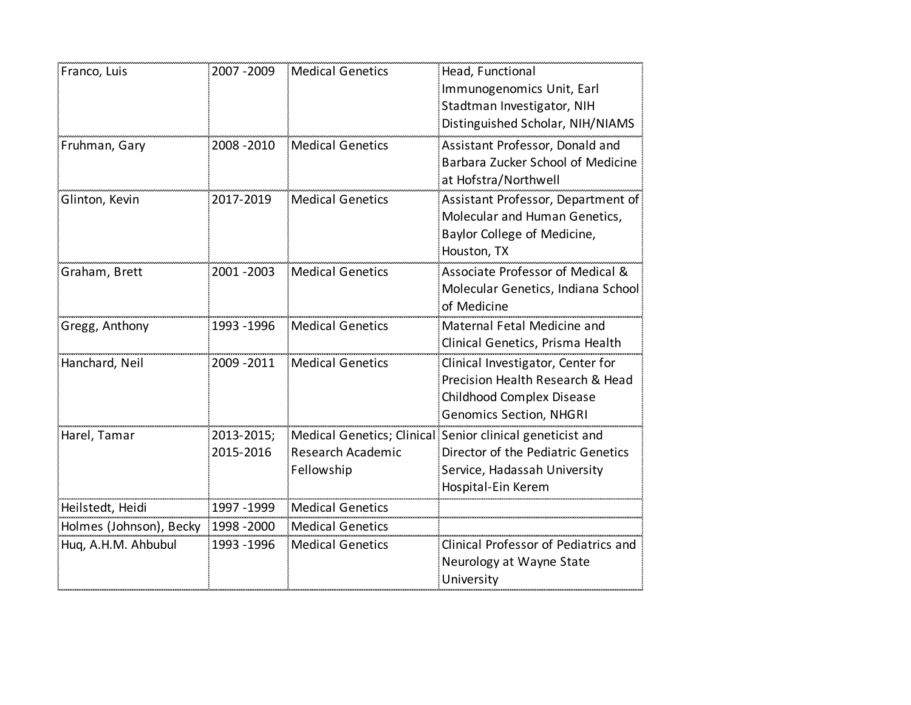| Franco, Luis            | 2007 - 2009             | <b>Medical Genetics</b>         | Head, Functional<br>Immunogenomics Unit, Earl<br>Stadtman Investigator, NIH<br>Distinguished Scholar, NIH/NIAMS                                       |
|-------------------------|-------------------------|---------------------------------|-------------------------------------------------------------------------------------------------------------------------------------------------------|
| Fruhman, Gary           | 2008 - 2010             | <b>Medical Genetics</b>         | Assistant Professor, Donald and<br>Barbara Zucker School of Medicine<br>at Hofstra/Northwell                                                          |
| Glinton, Kevin          | 2017-2019               | <b>Medical Genetics</b>         | Assistant Professor, Department of<br>Molecular and Human Genetics,<br>Baylor College of Medicine,<br>Houston, TX                                     |
| Graham, Brett           | 2001 - 2003             | <b>Medical Genetics</b>         | Associate Professor of Medical &<br>Molecular Genetics, Indiana School<br>of Medicine                                                                 |
| Gregg, Anthony          | 1993 - 1996             | <b>Medical Genetics</b>         | Maternal Fetal Medicine and<br>Clinical Genetics, Prisma Health                                                                                       |
| Hanchard, Neil          | 2009 - 2011             | <b>Medical Genetics</b>         | Clinical Investigator, Center for<br>Precision Health Research & Head<br>Childhood Complex Disease<br><b>Genomics Section, NHGRI</b>                  |
| Harel, Tamar            | 2013-2015;<br>2015-2016 | Research Academic<br>Fellowship | Medical Genetics; Clinical Senior clinical geneticist and<br>Director of the Pediatric Genetics<br>Service, Hadassah University<br>Hospital-Ein Kerem |
| Heilstedt, Heidi        | 1997 - 1999             | <b>Medical Genetics</b>         |                                                                                                                                                       |
| Holmes (Johnson), Becky | 1998 - 2000             | <b>Medical Genetics</b>         |                                                                                                                                                       |
| Hug, A.H.M. Ahbubul     | 1993 - 1996             | <b>Medical Genetics</b>         | Clinical Professor of Pediatrics and<br>Neurology at Wayne State<br>University                                                                        |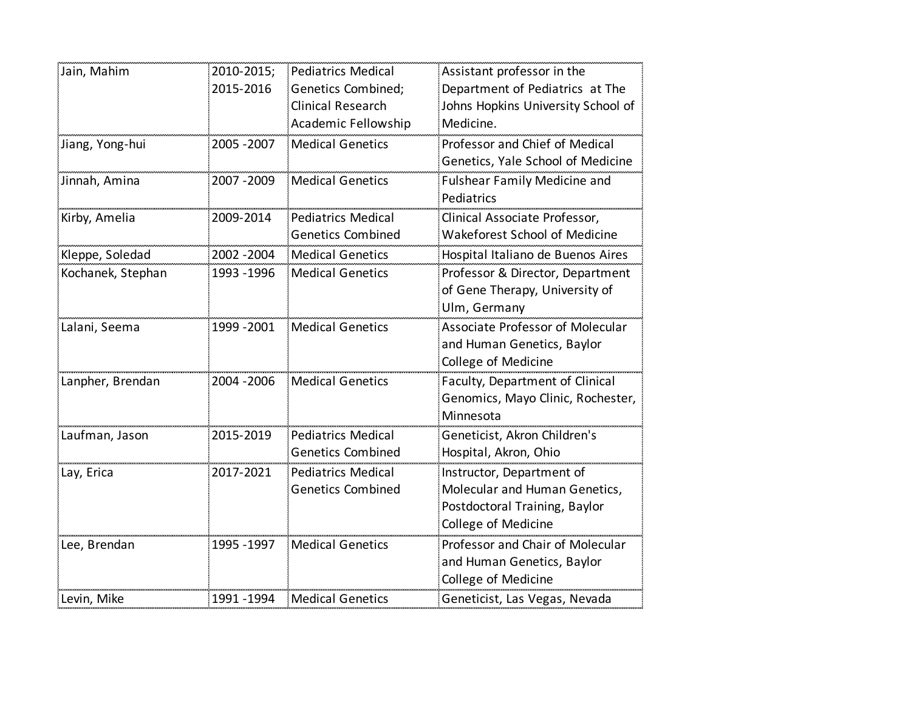| Jain, Mahim       | 2010-2015;<br>2015-2016 | <b>Pediatrics Medical</b><br>Genetics Combined;<br><b>Clinical Research</b><br>Academic Fellowship | Assistant professor in the<br>Department of Pediatrics at The<br>Johns Hopkins University School of<br>Medicine.   |
|-------------------|-------------------------|----------------------------------------------------------------------------------------------------|--------------------------------------------------------------------------------------------------------------------|
| Jiang, Yong-hui   | 2005 - 2007             | <b>Medical Genetics</b>                                                                            | Professor and Chief of Medical<br>Genetics, Yale School of Medicine                                                |
| Jinnah, Amina     | 2007 - 2009             | <b>Medical Genetics</b>                                                                            | <b>Fulshear Family Medicine and</b><br>Pediatrics                                                                  |
| Kirby, Amelia     | 2009-2014               | <b>Pediatrics Medical</b><br><b>Genetics Combined</b>                                              | Clinical Associate Professor,<br>Wakeforest School of Medicine                                                     |
| Kleppe, Soledad   | 2002 - 2004             | <b>Medical Genetics</b>                                                                            | Hospital Italiano de Buenos Aires                                                                                  |
| Kochanek, Stephan | 1993 - 1996             | <b>Medical Genetics</b>                                                                            | Professor & Director, Department<br>of Gene Therapy, University of<br>Ulm, Germany                                 |
| Lalani, Seema     | 1999 - 2001             | <b>Medical Genetics</b>                                                                            | Associate Professor of Molecular<br>and Human Genetics, Baylor<br>College of Medicine                              |
| Lanpher, Brendan  | 2004 - 2006             | <b>Medical Genetics</b>                                                                            | Faculty, Department of Clinical<br>Genomics, Mayo Clinic, Rochester,<br>Minnesota                                  |
| Laufman, Jason    | 2015-2019               | <b>Pediatrics Medical</b><br><b>Genetics Combined</b>                                              | Geneticist, Akron Children's<br>Hospital, Akron, Ohio                                                              |
| Lay, Erica        | 2017-2021               | <b>Pediatrics Medical</b><br><b>Genetics Combined</b>                                              | Instructor, Department of<br>Molecular and Human Genetics,<br>Postdoctoral Training, Baylor<br>College of Medicine |
| Lee, Brendan      | 1995 - 1997             | <b>Medical Genetics</b>                                                                            | Professor and Chair of Molecular<br>and Human Genetics, Baylor<br>College of Medicine                              |
| Levin, Mike       | 1991 - 1994             | <b>Medical Genetics</b>                                                                            | Geneticist, Las Vegas, Nevada                                                                                      |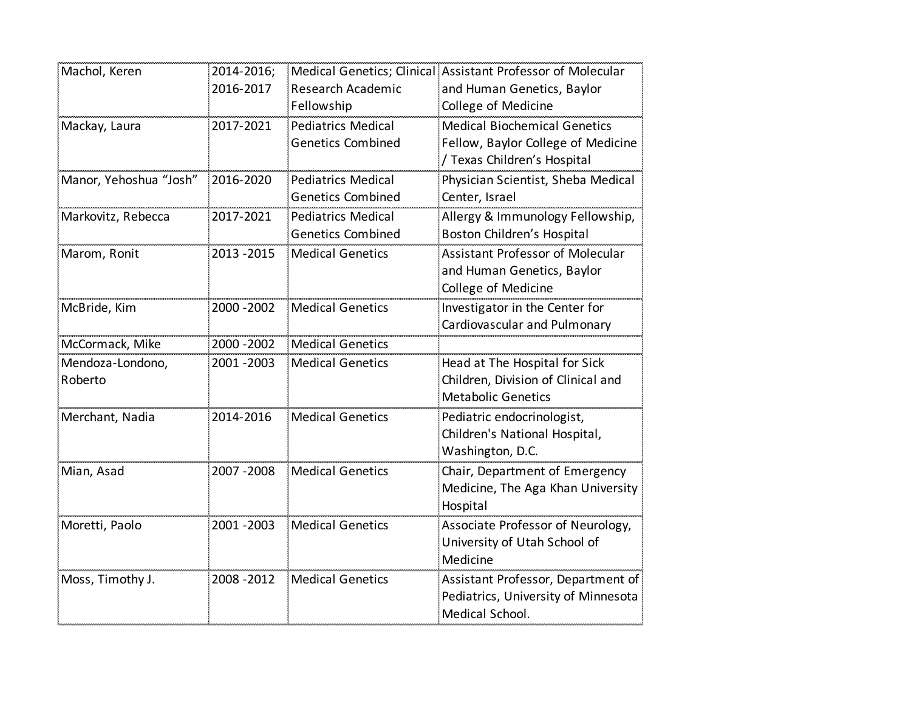| Machol, Keren          | 2014-2016;  |                           | Medical Genetics; Clinical Assistant Professor of Molecular |
|------------------------|-------------|---------------------------|-------------------------------------------------------------|
|                        | 2016-2017   | <b>Research Academic</b>  | and Human Genetics, Baylor                                  |
|                        |             | Fellowship                | College of Medicine                                         |
| Mackay, Laura          | 2017-2021   | <b>Pediatrics Medical</b> | <b>Medical Biochemical Genetics</b>                         |
|                        |             | <b>Genetics Combined</b>  | Fellow, Baylor College of Medicine                          |
|                        |             |                           | / Texas Children's Hospital                                 |
| Manor, Yehoshua "Josh" | 2016-2020   | <b>Pediatrics Medical</b> | Physician Scientist, Sheba Medical                          |
|                        |             | <b>Genetics Combined</b>  | Center, Israel                                              |
| Markovitz, Rebecca     | 2017-2021   | <b>Pediatrics Medical</b> | Allergy & Immunology Fellowship,                            |
|                        |             | <b>Genetics Combined</b>  | Boston Children's Hospital                                  |
| Marom, Ronit           | 2013 - 2015 | <b>Medical Genetics</b>   | Assistant Professor of Molecular                            |
|                        |             |                           | and Human Genetics, Baylor                                  |
|                        |             |                           | College of Medicine                                         |
| McBride, Kim           | 2000 - 2002 | <b>Medical Genetics</b>   | Investigator in the Center for                              |
|                        |             |                           | Cardiovascular and Pulmonary                                |
| McCormack, Mike        | 2000 - 2002 | <b>Medical Genetics</b>   |                                                             |
| Mendoza-Londono,       | 2001 - 2003 | <b>Medical Genetics</b>   | Head at The Hospital for Sick                               |
| Roberto                |             |                           | Children, Division of Clinical and                          |
|                        |             |                           | <b>Metabolic Genetics</b>                                   |
| Merchant, Nadia        | 2014-2016   | <b>Medical Genetics</b>   | Pediatric endocrinologist,                                  |
|                        |             |                           | Children's National Hospital,                               |
|                        |             |                           | Washington, D.C.                                            |
| Mian, Asad             | 2007 - 2008 | <b>Medical Genetics</b>   | Chair, Department of Emergency                              |
|                        |             |                           | Medicine, The Aga Khan University                           |
|                        |             |                           | Hospital                                                    |
| Moretti, Paolo         | 2001 - 2003 | <b>Medical Genetics</b>   | Associate Professor of Neurology,                           |
|                        |             |                           | University of Utah School of                                |
|                        |             |                           | Medicine                                                    |
| Moss, Timothy J.       | 2008 - 2012 | <b>Medical Genetics</b>   | Assistant Professor, Department of                          |
|                        |             |                           | Pediatrics, University of Minnesota                         |
|                        |             |                           | Medical School.                                             |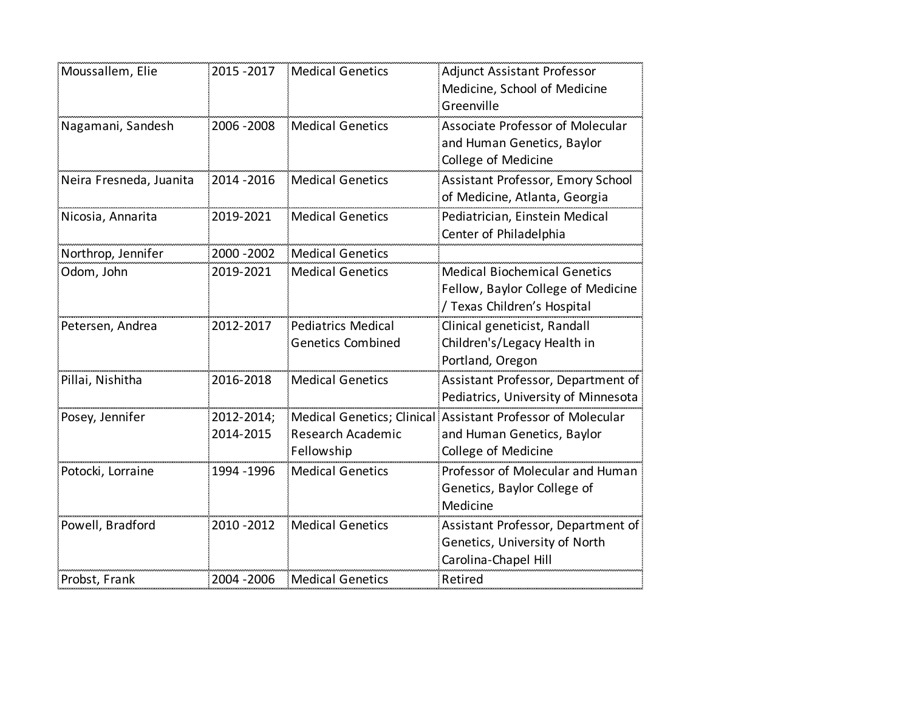| Moussallem, Elie        | 2015 - 2017             | <b>Medical Genetics</b>                               | <b>Adjunct Assistant Professor</b><br>Medicine, School of Medicine<br>Greenville                                 |
|-------------------------|-------------------------|-------------------------------------------------------|------------------------------------------------------------------------------------------------------------------|
| Nagamani, Sandesh       | 2006 - 2008             | <b>Medical Genetics</b>                               | Associate Professor of Molecular<br>and Human Genetics, Baylor<br>College of Medicine                            |
| Neira Fresneda, Juanita | 2014 - 2016             | <b>Medical Genetics</b>                               | Assistant Professor, Emory School<br>of Medicine, Atlanta, Georgia                                               |
| Nicosia, Annarita       | 2019-2021               | <b>Medical Genetics</b>                               | Pediatrician, Einstein Medical<br>Center of Philadelphia                                                         |
| Northrop, Jennifer      | 2000 - 2002             | <b>Medical Genetics</b>                               |                                                                                                                  |
| Odom, John              | 2019-2021               | <b>Medical Genetics</b>                               | <b>Medical Biochemical Genetics</b><br>Fellow, Baylor College of Medicine<br>/ Texas Children's Hospital         |
| Petersen, Andrea        | 2012-2017               | <b>Pediatrics Medical</b><br><b>Genetics Combined</b> | Clinical geneticist, Randall<br>Children's/Legacy Health in<br>Portland, Oregon                                  |
| Pillai, Nishitha        | 2016-2018               | <b>Medical Genetics</b>                               | Assistant Professor, Department of<br>Pediatrics, University of Minnesota                                        |
| Posey, Jennifer         | 2012-2014;<br>2014-2015 | Research Academic<br>Fellowship                       | Medical Genetics; Clinical Assistant Professor of Molecular<br>and Human Genetics, Baylor<br>College of Medicine |
| Potocki, Lorraine       | 1994 - 1996             | <b>Medical Genetics</b>                               | Professor of Molecular and Human<br>Genetics, Baylor College of<br>Medicine                                      |
| Powell, Bradford        | 2010 - 2012             | <b>Medical Genetics</b>                               | Assistant Professor, Department of<br>Genetics, University of North<br>Carolina-Chapel Hill                      |
| Probst, Frank           | 2004 - 2006             | <b>Medical Genetics</b>                               | Retired                                                                                                          |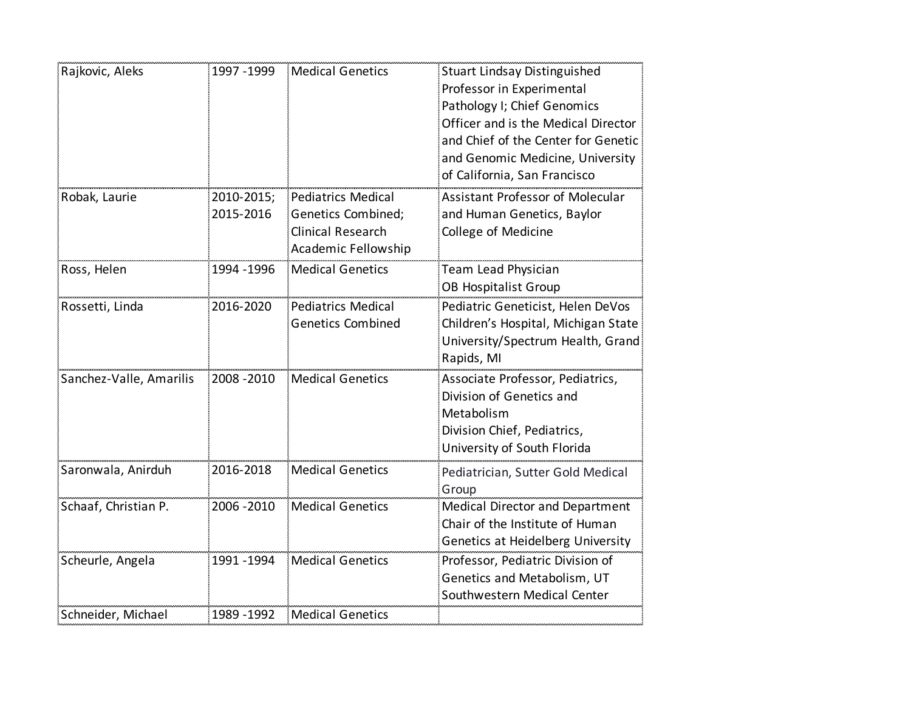| Rajkovic, Aleks         | 1997 - 1999             | <b>Medical Genetics</b>                                                                                   | <b>Stuart Lindsay Distinguished</b><br>Professor in Experimental<br>Pathology I; Chief Genomics<br>Officer and is the Medical Director<br>and Chief of the Center for Genetic<br>and Genomic Medicine, University<br>of California, San Francisco |
|-------------------------|-------------------------|-----------------------------------------------------------------------------------------------------------|---------------------------------------------------------------------------------------------------------------------------------------------------------------------------------------------------------------------------------------------------|
| Robak, Laurie           | 2010-2015;<br>2015-2016 | <b>Pediatrics Medical</b><br>Genetics Combined;<br><b>Clinical Research</b><br><b>Academic Fellowship</b> | Assistant Professor of Molecular<br>and Human Genetics, Baylor<br>College of Medicine                                                                                                                                                             |
| Ross, Helen             | 1994 - 1996             | <b>Medical Genetics</b>                                                                                   | Team Lead Physician<br><b>OB Hospitalist Group</b>                                                                                                                                                                                                |
| Rossetti, Linda         | 2016-2020               | <b>Pediatrics Medical</b><br><b>Genetics Combined</b>                                                     | Pediatric Geneticist, Helen DeVos<br>Children's Hospital, Michigan State<br>University/Spectrum Health, Grand<br>Rapids, MI                                                                                                                       |
| Sanchez-Valle, Amarilis | 2008 - 2010             | <b>Medical Genetics</b>                                                                                   | Associate Professor, Pediatrics,<br>Division of Genetics and<br>Metabolism<br>Division Chief, Pediatrics,<br>University of South Florida                                                                                                          |
| Saronwala, Anirduh      | 2016-2018               | <b>Medical Genetics</b>                                                                                   | Pediatrician, Sutter Gold Medical<br>Group                                                                                                                                                                                                        |
| Schaaf, Christian P.    | 2006 - 2010             | <b>Medical Genetics</b>                                                                                   | <b>Medical Director and Department</b><br>Chair of the Institute of Human<br>Genetics at Heidelberg University                                                                                                                                    |
| Scheurle, Angela        | 1991 - 1994             | <b>Medical Genetics</b>                                                                                   | Professor, Pediatric Division of<br>Genetics and Metabolism, UT<br>Southwestern Medical Center                                                                                                                                                    |
| Schneider, Michael      | 1989 - 1992             | <b>Medical Genetics</b>                                                                                   |                                                                                                                                                                                                                                                   |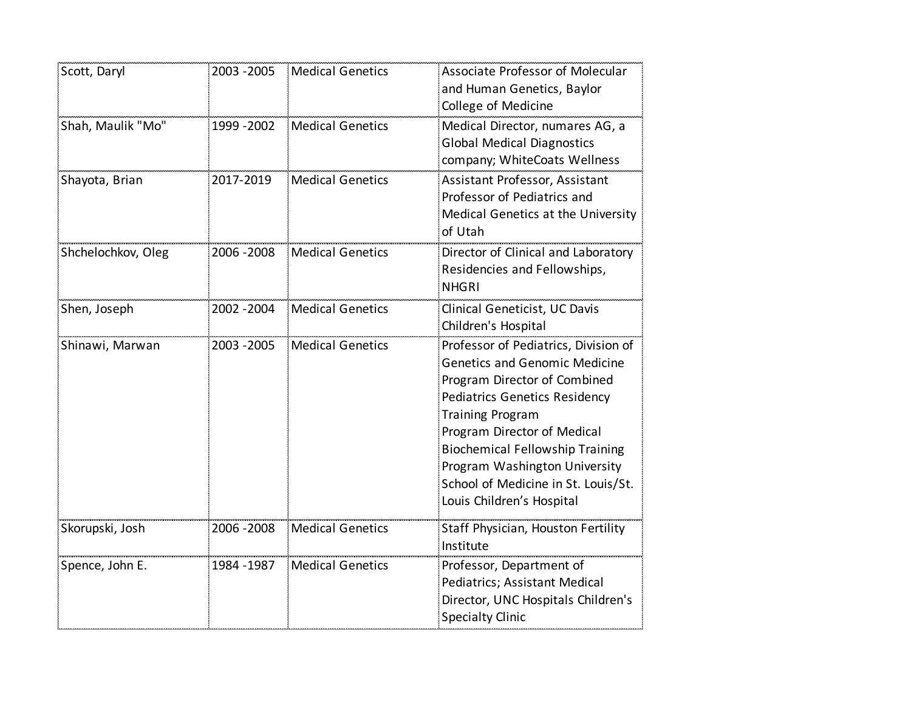| Scott, Daryl       | 2003 - 2005 | <b>Medical Genetics</b> | Associate Professor of Molecular<br>and Human Genetics, Baylor                                                                                                                                                                                                                                                                                                |
|--------------------|-------------|-------------------------|---------------------------------------------------------------------------------------------------------------------------------------------------------------------------------------------------------------------------------------------------------------------------------------------------------------------------------------------------------------|
| Shah, Maulik "Mo"  | 1999 - 2002 | <b>Medical Genetics</b> | College of Medicine<br>Medical Director, numares AG, a<br><b>Global Medical Diagnostics</b><br>company; WhiteCoats Wellness                                                                                                                                                                                                                                   |
| Shayota, Brian     | 2017-2019   | <b>Medical Genetics</b> | Assistant Professor, Assistant<br>Professor of Pediatrics and<br>Medical Genetics at the University<br>of Utah                                                                                                                                                                                                                                                |
| Shchelochkov, Oleg | 2006 - 2008 | <b>Medical Genetics</b> | Director of Clinical and Laboratory<br>Residencies and Fellowships,<br><b>NHGRI</b>                                                                                                                                                                                                                                                                           |
| Shen, Joseph       | 2002 - 2004 | <b>Medical Genetics</b> | Clinical Geneticist, UC Davis<br>Children's Hospital                                                                                                                                                                                                                                                                                                          |
| Shinawi, Marwan    | 2003 - 2005 | <b>Medical Genetics</b> | Professor of Pediatrics, Division of<br><b>Genetics and Genomic Medicine</b><br>Program Director of Combined<br><b>Pediatrics Genetics Residency</b><br><b>Training Program</b><br>Program Director of Medical<br><b>Biochemical Fellowship Training</b><br>Program Washington University<br>School of Medicine in St. Louis/St.<br>Louis Children's Hospital |
| Skorupski, Josh    | 2006 - 2008 | <b>Medical Genetics</b> | Staff Physician, Houston Fertility<br>Institute                                                                                                                                                                                                                                                                                                               |
| Spence, John E.    | 1984 - 1987 | <b>Medical Genetics</b> | Professor, Department of<br>Pediatrics; Assistant Medical<br>Director, UNC Hospitals Children's<br><b>Specialty Clinic</b>                                                                                                                                                                                                                                    |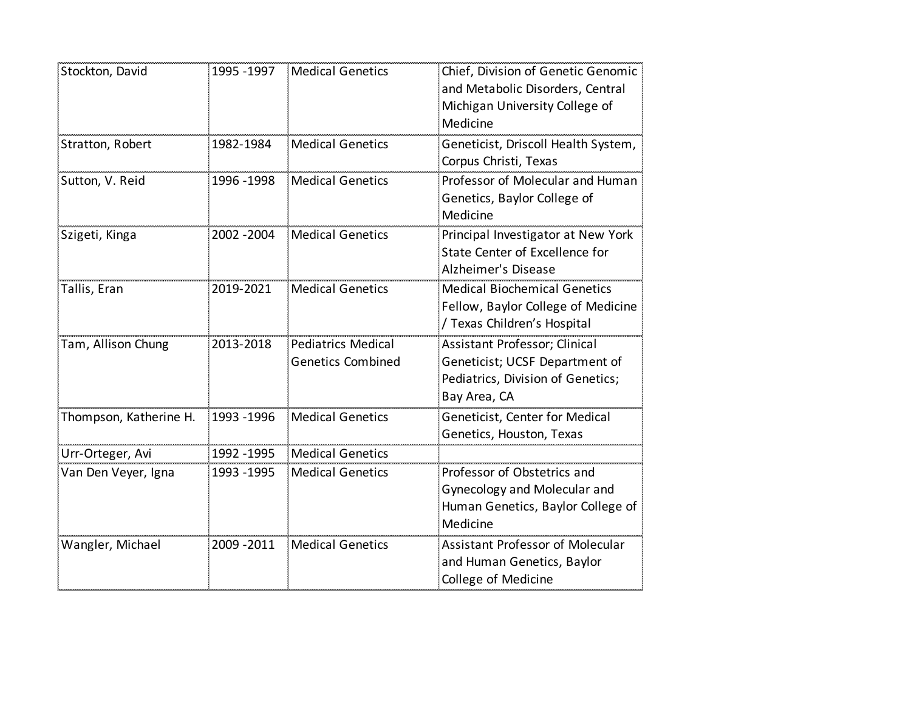| Stockton, David        | 1995 - 1997 | <b>Medical Genetics</b>                               | Chief, Division of Genetic Genomic<br>and Metabolic Disorders, Central<br>Michigan University College of<br>Medicine |
|------------------------|-------------|-------------------------------------------------------|----------------------------------------------------------------------------------------------------------------------|
| Stratton, Robert       | 1982-1984   | <b>Medical Genetics</b>                               | Geneticist, Driscoll Health System,<br>Corpus Christi, Texas                                                         |
| Sutton, V. Reid        | 1996 - 1998 | <b>Medical Genetics</b>                               | Professor of Molecular and Human<br>Genetics, Baylor College of<br>Medicine                                          |
| Szigeti, Kinga         | 2002 - 2004 | <b>Medical Genetics</b>                               | Principal Investigator at New York<br>State Center of Excellence for<br>Alzheimer's Disease                          |
| Tallis, Eran           | 2019-2021   | <b>Medical Genetics</b>                               | <b>Medical Biochemical Genetics</b><br>Fellow, Baylor College of Medicine<br>/ Texas Children's Hospital             |
| Tam, Allison Chung     | 2013-2018   | <b>Pediatrics Medical</b><br><b>Genetics Combined</b> | Assistant Professor; Clinical<br>Geneticist; UCSF Department of<br>Pediatrics, Division of Genetics;<br>Bay Area, CA |
| Thompson, Katherine H. | 1993 - 1996 | <b>Medical Genetics</b>                               | Geneticist, Center for Medical<br>Genetics, Houston, Texas                                                           |
| Urr-Orteger, Avi       | 1992 - 1995 | <b>Medical Genetics</b>                               |                                                                                                                      |
| Van Den Veyer, Igna    | 1993 - 1995 | <b>Medical Genetics</b>                               | Professor of Obstetrics and<br>Gynecology and Molecular and<br>Human Genetics, Baylor College of<br>Medicine         |
| Wangler, Michael       | 2009 - 2011 | <b>Medical Genetics</b>                               | <b>Assistant Professor of Molecular</b><br>and Human Genetics, Baylor<br>College of Medicine                         |